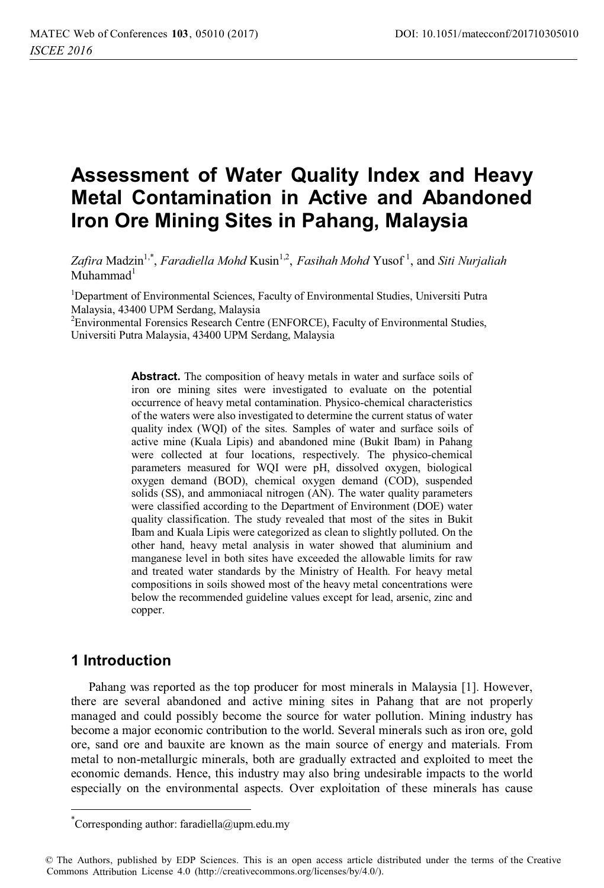# **Assessment of Water Quality Index and Heavy Metal Contamination in Active and Abandoned Iron Ore Mining Sites in Pahang, Malaysia**

*Zafira* Madzin1,\*, *Faradiella Mohd* Kusin1,2 , *Fasihah Mohd* Yusof <sup>1</sup> , and *Siti Nurjaliah*  $M$ uhammad<sup>1</sup>

<sup>1</sup>Department of Environmental Sciences, Faculty of Environmental Studies, Universiti Putra Malaysia, 43400 UPM Serdang, Malaysia

<sup>2</sup> Environmental Forensics Research Centre (ENFORCE), Faculty of Environmental Studies, Universiti Putra Malaysia, 43400 UPM Serdang, Malaysia

> **Abstract.** The composition of heavy metals in water and surface soils of iron ore mining sites were investigated to evaluate on the potential occurrence of heavy metal contamination. Physico-chemical characteristics of the waters were also investigated to determine the current status of water quality index (WQI) of the sites. Samples of water and surface soils of active mine (Kuala Lipis) and abandoned mine (Bukit Ibam) in Pahang were collected at four locations, respectively. The physico-chemical parameters measured for WQI were pH, dissolved oxygen, biological oxygen demand (BOD), chemical oxygen demand (COD), suspended solids (SS), and ammoniacal nitrogen (AN). The water quality parameters were classified according to the Department of Environment (DOE) water quality classification. The study revealed that most of the sites in Bukit Ibam and Kuala Lipis were categorized as clean to slightly polluted. On the other hand, heavy metal analysis in water showed that aluminium and manganese level in both sites have exceeded the allowable limits for raw and treated water standards by the Ministry of Health. For heavy metal compositions in soils showed most of the heavy metal concentrations were below the recommended guideline values except for lead, arsenic, zinc and copper.

# **1 Introduction**

l

Pahang was reported as the top producer for most minerals in Malaysia [1]. However, there are several abandoned and active mining sites in Pahang that are not properly managed and could possibly become the source for water pollution. Mining industry has become a major economic contribution to the world. Several minerals such as iron ore, gold ore, sand ore and bauxite are known as the main source of energy and materials. From metal to non-metallurgic minerals, both are gradually extracted and exploited to meet the economic demands. Hence, this industry may also bring undesirable impacts to the world especially on the environmental aspects. Over exploitation of these minerals has cause

<sup>\*</sup> Corresponding author: faradiella@upm.edu.my

<sup>©</sup> The Authors, published by EDP Sciences. This is an open access article distributed under the terms of the Creative Commons Attribution License 4.0 (http://creativecommons.org/licenses/by/4.0/).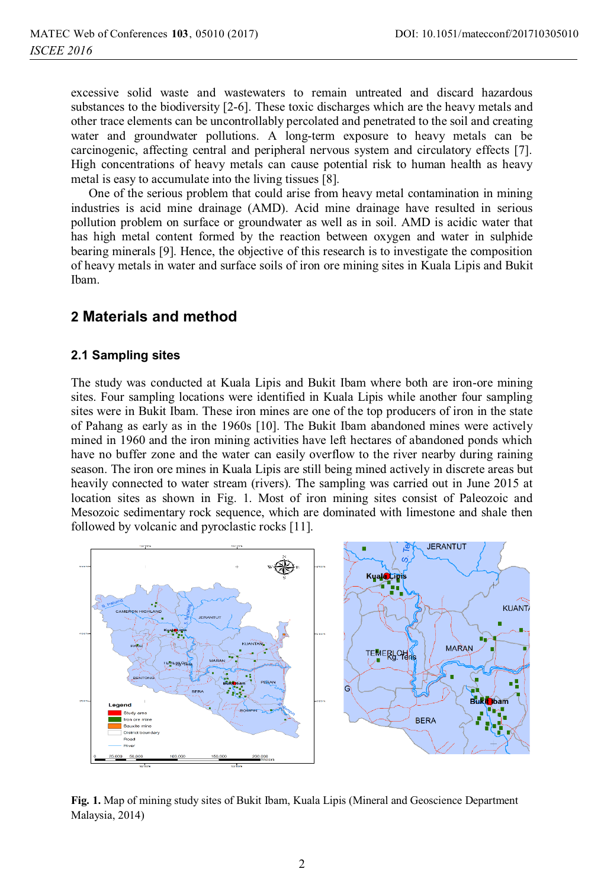excessive solid waste and wastewaters to remain untreated and discard hazardous substances to the biodiversity [2-6]. These toxic discharges which are the heavy metals and other trace elements can be uncontrollably percolated and penetrated to the soil and creating water and groundwater pollutions. A long-term exposure to heavy metals can be carcinogenic, affecting central and peripheral nervous system and circulatory effects [7]. High concentrations of heavy metals can cause potential risk to human health as heavy metal is easy to accumulate into the living tissues [8].

One of the serious problem that could arise from heavy metal contamination in mining industries is acid mine drainage (AMD). Acid mine drainage have resulted in serious pollution problem on surface or groundwater as well as in soil. AMD is acidic water that has high metal content formed by the reaction between oxygen and water in sulphide bearing minerals [9]. Hence, the objective of this research is to investigate the composition of heavy metals in water and surface soils of iron ore mining sites in Kuala Lipis and Bukit Ibam.

# **2 Materials and method**

### **2.1 Sampling sites**

The study was conducted at Kuala Lipis and Bukit Ibam where both are iron-ore mining sites. Four sampling locations were identified in Kuala Lipis while another four sampling sites were in Bukit Ibam. These iron mines are one of the top producers of iron in the state of Pahang as early as in the 1960s [10]. The Bukit Ibam abandoned mines were actively mined in 1960 and the iron mining activities have left hectares of abandoned ponds which have no buffer zone and the water can easily overflow to the river nearby during raining season. The iron ore mines in Kuala Lipis are still being mined actively in discrete areas but heavily connected to water stream (rivers). The sampling was carried out in June 2015 at location sites as shown in Fig. 1. Most of iron mining sites consist of Paleozoic and Mesozoic sedimentary rock sequence, which are dominated with limestone and shale then followed by volcanic and pyroclastic rocks [11].



**Fig. 1.** Map of mining study sites of Bukit Ibam, Kuala Lipis (Mineral and Geoscience Department Malaysia, 2014)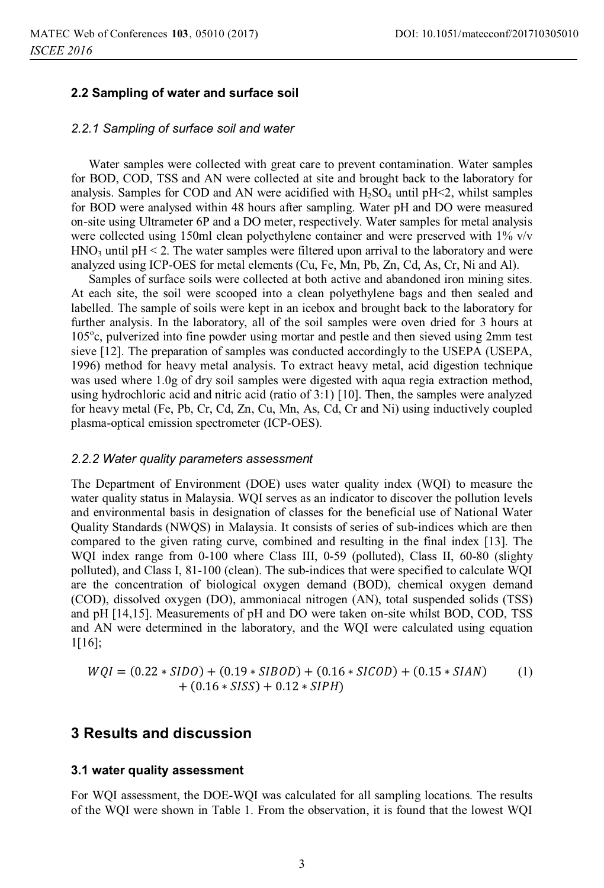### **2.2 Sampling of water and surface soil**

#### *2.2.1 Sampling of surface soil and water*

Water samples were collected with great care to prevent contamination. Water samples for BOD, COD, TSS and AN were collected at site and brought back to the laboratory for analysis. Samples for COD and AN were acidified with  $H_2SO_4$  until pH $\lt$ 2, whilst samples for BOD were analysed within 48 hours after sampling. Water pH and DO were measured on-site using Ultrameter 6P and a DO meter, respectively. Water samples for metal analysis were collected using 150ml clean polyethylene container and were preserved with 1% v/v  $HNO<sub>3</sub>$  until pH < 2. The water samples were filtered upon arrival to the laboratory and were analyzed using ICP-OES for metal elements (Cu, Fe, Mn, Pb, Zn, Cd, As, Cr, Ni and Al).

Samples of surface soils were collected at both active and abandoned iron mining sites. At each site, the soil were scooped into a clean polyethylene bags and then sealed and labelled. The sample of soils were kept in an icebox and brought back to the laboratory for further analysis. In the laboratory, all of the soil samples were oven dried for 3 hours at 105°c, pulverized into fine powder using mortar and pestle and then sieved using 2mm test sieve [12]. The preparation of samples was conducted accordingly to the USEPA (USEPA, 1996) method for heavy metal analysis. To extract heavy metal, acid digestion technique was used where 1.0g of dry soil samples were digested with aqua regia extraction method, using hydrochloric acid and nitric acid (ratio of 3:1) [10]. Then, the samples were analyzed for heavy metal (Fe, Pb, Cr, Cd, Zn, Cu, Mn, As, Cd, Cr and Ni) using inductively coupled plasma-optical emission spectrometer (ICP-OES).

#### *2.2.2 Water quality parameters assessment*

The Department of Environment (DOE) uses water quality index (WQI) to measure the water quality status in Malaysia. WQI serves as an indicator to discover the pollution levels and environmental basis in designation of classes for the beneficial use of National Water Quality Standards (NWQS) in Malaysia. It consists of series of sub-indices which are then compared to the given rating curve, combined and resulting in the final index [13]. The WQI index range from 0-100 where Class III, 0-59 (polluted), Class II, 60-80 (slighty polluted), and Class I, 81-100 (clean). The sub-indices that were specified to calculate WQI are the concentration of biological oxygen demand (BOD), chemical oxygen demand (COD), dissolved oxygen (DO), ammoniacal nitrogen (AN), total suspended solids (TSS) and pH [14,15]. Measurements of pH and DO were taken on-site whilst BOD, COD, TSS and AN were determined in the laboratory, and the WQI were calculated using equation 1[16];

$$
WQI = (0.22 * SIDO) + (0.19 * SIDOD) + (0.16 * SICOD) + (0.15 * SIAN) + (0.16 * SISS) + 0.12 * SIPH)
$$
 (1)

### **3 Results and discussion**

#### **3.1 water quality assessment**

For WQI assessment, the DOE-WQI was calculated for all sampling locations. The results of the WQI were shown in Table 1. From the observation, it is found that the lowest WQI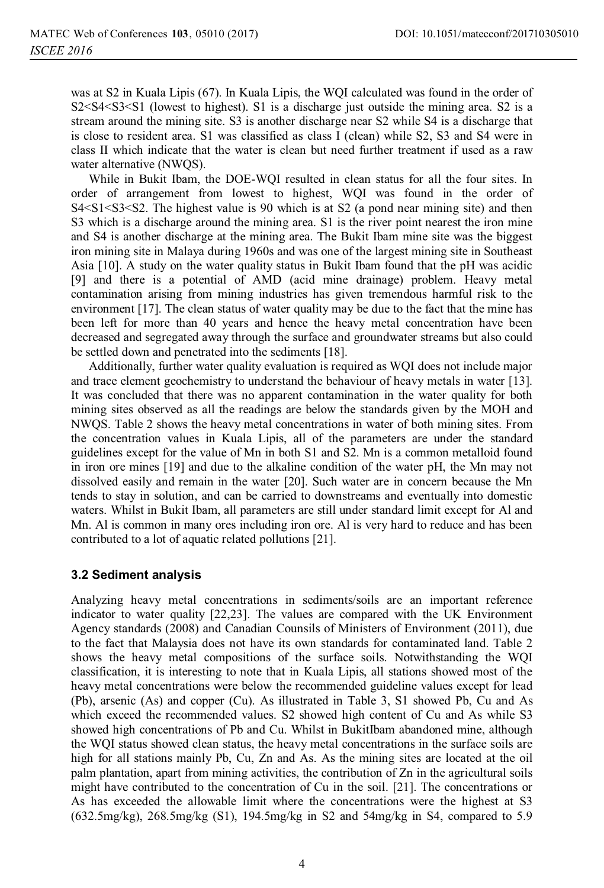was at S2 in Kuala Lipis (67). In Kuala Lipis, the WQI calculated was found in the order of S2<S4<S3<S1 (lowest to highest). S1 is a discharge just outside the mining area. S2 is a stream around the mining site. S3 is another discharge near S2 while S4 is a discharge that is close to resident area. S1 was classified as class I (clean) while S2, S3 and S4 were in class II which indicate that the water is clean but need further treatment if used as a raw water alternative (NWQS).

While in Bukit Ibam, the DOE-WQI resulted in clean status for all the four sites. In order of arrangement from lowest to highest, WQI was found in the order of  $S4 \leq S1 \leq S3 \leq S2$ . The highest value is 90 which is at S2 (a pond near mining site) and then S3 which is a discharge around the mining area. S1 is the river point nearest the iron mine and S4 is another discharge at the mining area. The Bukit Ibam mine site was the biggest iron mining site in Malaya during 1960s and was one of the largest mining site in Southeast Asia [10]. A study on the water quality status in Bukit Ibam found that the pH was acidic [9] and there is a potential of AMD (acid mine drainage) problem. Heavy metal contamination arising from mining industries has given tremendous harmful risk to the environment [17]. The clean status of water quality may be due to the fact that the mine has been left for more than 40 years and hence the heavy metal concentration have been decreased and segregated away through the surface and groundwater streams but also could be settled down and penetrated into the sediments [18].

Additionally, further water quality evaluation is required as WQI does not include major and trace element geochemistry to understand the behaviour of heavy metals in water [13]. It was concluded that there was no apparent contamination in the water quality for both mining sites observed as all the readings are below the standards given by the MOH and NWQS. Table 2 shows the heavy metal concentrations in water of both mining sites. From the concentration values in Kuala Lipis, all of the parameters are under the standard guidelines except for the value of Mn in both S1 and S2. Mn is a common metalloid found in iron ore mines [19] and due to the alkaline condition of the water pH, the Mn may not dissolved easily and remain in the water [20]. Such water are in concern because the Mn tends to stay in solution, and can be carried to downstreams and eventually into domestic waters. Whilst in Bukit Ibam, all parameters are still under standard limit except for Al and Mn. Al is common in many ores including iron ore. Al is very hard to reduce and has been contributed to a lot of aquatic related pollutions [21].

### **3.2 Sediment analysis**

Analyzing heavy metal concentrations in sediments/soils are an important reference indicator to water quality [22,23]. The values are compared with the UK Environment Agency standards (2008) and Canadian Counsils of Ministers of Environment (2011), due to the fact that Malaysia does not have its own standards for contaminated land. Table 2 shows the heavy metal compositions of the surface soils. Notwithstanding the WQI classification, it is interesting to note that in Kuala Lipis, all stations showed most of the heavy metal concentrations were below the recommended guideline values except for lead (Pb), arsenic (As) and copper (Cu). As illustrated in Table 3, S1 showed Pb, Cu and As which exceed the recommended values. S2 showed high content of Cu and As while S3 showed high concentrations of Pb and Cu. Whilst in BukitIbam abandoned mine, although the WQI status showed clean status, the heavy metal concentrations in the surface soils are high for all stations mainly Pb, Cu, Zn and As. As the mining sites are located at the oil palm plantation, apart from mining activities, the contribution of Zn in the agricultural soils might have contributed to the concentration of Cu in the soil. [21]. The concentrations or As has exceeded the allowable limit where the concentrations were the highest at S3 (632.5mg/kg), 268.5mg/kg (S1), 194.5mg/kg in S2 and 54mg/kg in S4, compared to 5.9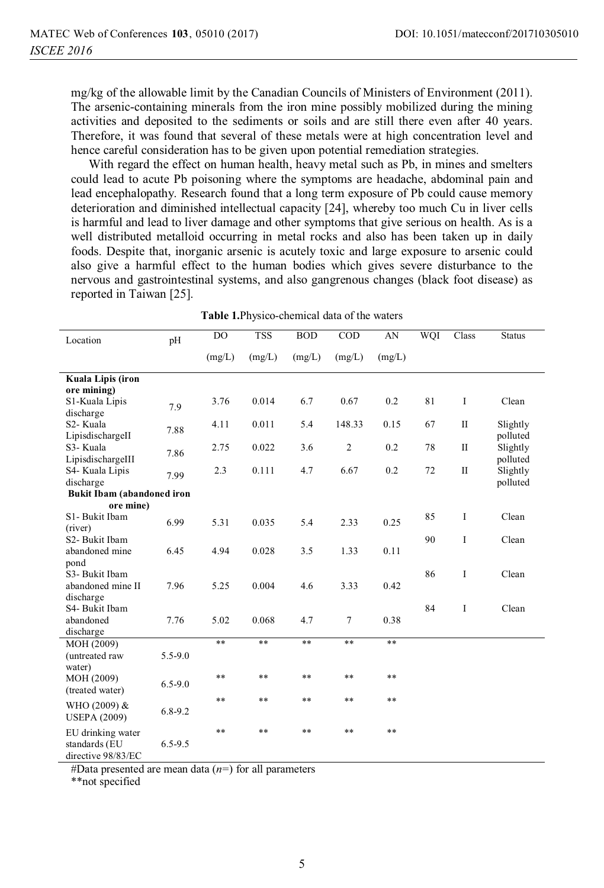mg/kg of the allowable limit by the Canadian Councils of Ministers of Environment (2011). The arsenic-containing minerals from the iron mine possibly mobilized during the mining activities and deposited to the sediments or soils and are still there even after 40 years. Therefore, it was found that several of these metals were at high concentration level and hence careful consideration has to be given upon potential remediation strategies.

With regard the effect on human health, heavy metal such as Pb, in mines and smelters could lead to acute Pb poisoning where the symptoms are headache, abdominal pain and lead encephalopathy. Research found that a long term exposure of Pb could cause memory deterioration and diminished intellectual capacity [24], whereby too much Cu in liver cells is harmful and lead to liver damage and other symptoms that give serious on health. As is a well distributed metalloid occurring in metal rocks and also has been taken up in daily foods. Despite that, inorganic arsenic is acutely toxic and large exposure to arsenic could also give a harmful effect to the human bodies which gives severe disturbance to the nervous and gastrointestinal systems, and also gangrenous changes (black foot disease) as reported in Taiwan [25].

| Location                                       | pH          | DO.    | <b>TSS</b> | <b>BOD</b> | $\rm COD$      | AN     | WQI | Class        | <b>Status</b> |
|------------------------------------------------|-------------|--------|------------|------------|----------------|--------|-----|--------------|---------------|
|                                                |             | (mg/L) | (mg/L)     | (mg/L)     | (mg/L)         | (mg/L) |     |              |               |
| Kuala Lipis (iron                              |             |        |            |            |                |        |     |              |               |
| ore mining)                                    |             |        |            |            |                |        |     |              |               |
| S1-Kuala Lipis                                 | 7.9         | 3.76   | 0.014      | 6.7        | 0.67           | 0.2    | 81  | Ι            | Clean         |
| discharge                                      |             |        |            |            |                |        |     |              |               |
| S2- Kuala                                      | 7.88        | 4.11   | 0.011      | 5.4        | 148.33         | 0.15   | 67  | $\mathbf{I}$ | Slightly      |
| LipisdischargeII                               |             |        |            |            |                |        |     |              | polluted      |
| S3- Kuala                                      | 7.86        | 2.75   | 0.022      | 3.6        | $\overline{2}$ | 0.2    | 78  | $\mathbf{I}$ | Slightly      |
| LipisdischargeIII                              |             |        |            |            |                |        |     |              | polluted      |
| S4- Kuala Lipis                                | 7.99        | 2.3    | 0.111      | 4.7        | 6.67           | 0.2    | 72  | $\mathbf{I}$ | Slightly      |
| discharge                                      |             |        |            |            |                |        |     |              | polluted      |
| <b>Bukit Ibam</b> (abandoned iron<br>ore mine) |             |        |            |            |                |        |     |              |               |
| S1-Bukit Ibam                                  |             |        |            |            |                |        | 85  | I            | Clean         |
| (river)                                        | 6.99        | 5.31   | 0.035      | 5.4        | 2.33           | 0.25   |     |              |               |
| S2- Bukit Ibam                                 |             |        |            |            |                |        | 90  | $\mathbf I$  | Clean         |
| abandoned mine                                 | 6.45        | 4.94   | 0.028      | 3.5        | 1.33           | 0.11   |     |              |               |
| pond                                           |             |        |            |            |                |        |     |              |               |
| S3- Bukit Ibam                                 |             |        |            |            |                |        | 86  | I            | Clean         |
| abandoned mine II                              | 7.96        | 5.25   | 0.004      | 4.6        | 3.33           | 0.42   |     |              |               |
| discharge                                      |             |        |            |            |                |        |     |              |               |
| S4- Bukit Ibam                                 |             |        |            |            |                |        | 84  | I            | Clean         |
| abandoned                                      | 7.76        | 5.02   | 0.068      | 4.7        | $\overline{7}$ | 0.38   |     |              |               |
| discharge                                      |             |        |            |            |                |        |     |              |               |
| MOH (2009)                                     |             | **     | $***$      | **         | **             | **     |     |              |               |
| (untreated raw                                 | 5.5-9.0     |        |            |            |                |        |     |              |               |
| water)                                         |             |        |            |            |                |        |     |              |               |
| MOH (2009)                                     | $6.5 - 9.0$ | **     | $***$      | **         | $***$          | **     |     |              |               |
| (treated water)                                |             |        |            |            |                |        |     |              |               |
| WHO (2009) &                                   |             | **     | $***$      | **         | **             | **     |     |              |               |
| <b>USEPA (2009)</b>                            | $6.8 - 9.2$ |        |            |            |                |        |     |              |               |
| EU drinking water                              |             | **     | $***$      | **         | **             | $***$  |     |              |               |
| standards (EU                                  | $6.5 - 9.5$ |        |            |            |                |        |     |              |               |
| directive 98/83/EC                             |             |        |            |            |                |        |     |              |               |

**Table 1.**Physico-chemical data of the waters

#Data presented are mean data (*n=*) for all parameters

\*\*not specified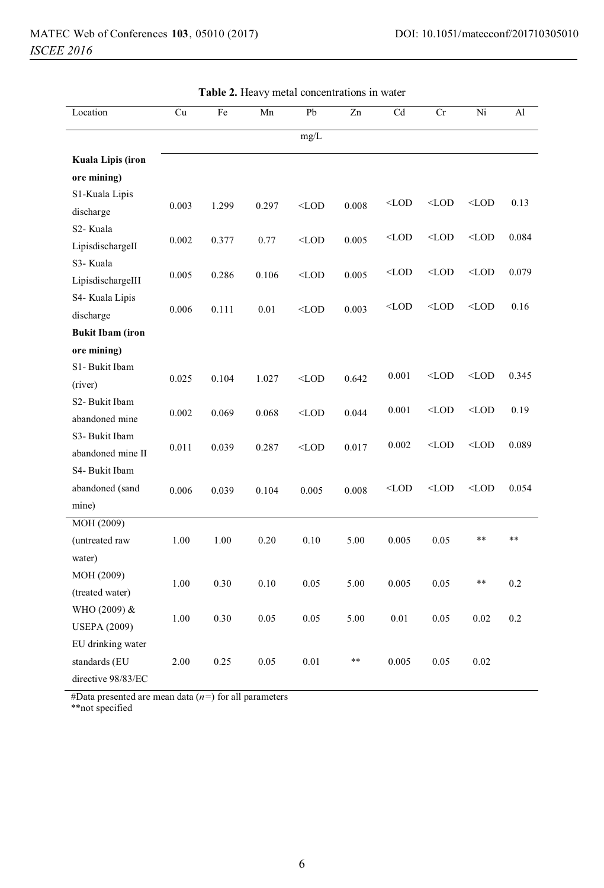| Location                | Cu    | Fe    | Mn    | Pb      | Zn    | Cd                                                                                          | Cr      | Ni      | Al    |
|-------------------------|-------|-------|-------|---------|-------|---------------------------------------------------------------------------------------------|---------|---------|-------|
|                         |       |       |       | mg/L    |       |                                                                                             |         |         |       |
| Kuala Lipis (iron       |       |       |       |         |       |                                                                                             |         |         |       |
| ore mining)             |       |       |       |         |       |                                                                                             |         |         |       |
| S1-Kuala Lipis          |       |       |       |         |       | $<$ LOD                                                                                     | $<$ LOD | $<$ LOD | 0.13  |
| discharge               | 0.003 | 1.299 | 0.297 | $<$ LOD | 0.008 |                                                                                             |         |         |       |
| S <sub>2</sub> - Kuala  |       |       |       |         |       | $<$ LOD                                                                                     | $<$ LOD | $<$ LOD | 0.084 |
| LipisdischargeII        | 0.002 | 0.377 | 0.77  | $<$ LOD | 0.005 |                                                                                             |         |         |       |
| S3- Kuala               |       |       |       |         |       | $<$ LOD                                                                                     | $<$ LOD | $<$ LOD | 0.079 |
| LipisdischargeIII       | 0.005 | 0.286 | 0.106 | $<$ LOD | 0.005 |                                                                                             |         |         |       |
| S4- Kuala Lipis         |       |       |       |         |       | $<$ LOD                                                                                     | $<$ LOD | $<$ LOD | 0.16  |
| discharge               | 0.006 | 0.111 | 0.01  | $<$ LOD | 0.003 |                                                                                             |         |         |       |
| <b>Bukit Ibam (iron</b> |       |       |       |         |       |                                                                                             |         |         |       |
| ore mining)             |       |       |       |         |       |                                                                                             |         |         |       |
| S1-Bukit Ibam           |       |       |       |         |       | 0.001                                                                                       | $<$ LOD | $<$ LOD | 0.345 |
| (river)                 | 0.025 | 0.104 | 1.027 | $<$ LOD | 0.642 |                                                                                             |         |         |       |
| S2- Bukit Ibam          |       |       |       |         |       | 0.001                                                                                       | $<$ LOD | $<$ LOD | 0.19  |
| abandoned mine          | 0.002 | 0.069 | 0.068 | $<$ LOD | 0.044 |                                                                                             |         |         |       |
| S3-Bukit Ibam           |       |       |       |         |       | 0.002                                                                                       | $<$ LOD | $<$ LOD | 0.089 |
| abandoned mine II       | 0.011 | 0.039 | 0.287 | $<$ LOD | 0.017 |                                                                                             |         |         |       |
| S4- Bukit Ibam          |       |       |       |         |       |                                                                                             |         |         |       |
| abandoned (sand         | 0.006 | 0.039 | 0.104 | 0.005   | 0.008 | <lod< td=""><td><math>&lt;</math>LOD</td><td><math>&lt;</math>LOD</td><td>0.054</td></lod<> | $<$ LOD | $<$ LOD | 0.054 |
| mine)                   |       |       |       |         |       |                                                                                             |         |         |       |
| MOH (2009)              |       |       |       |         |       |                                                                                             |         |         |       |
| (untreated raw          | 1.00  | 1.00  | 0.20  | 0.10    | 5.00  | 0.005                                                                                       | 0.05    | **      | **    |
| water)                  |       |       |       |         |       |                                                                                             |         |         |       |
| MOH (2009)              | 1.00  | 0.30  | 0.10  | 0.05    | 5.00  | 0.005                                                                                       | 0.05    | **      | 0.2   |
| (treated water)         |       |       |       |         |       |                                                                                             |         |         |       |
| WHO (2009) &            | 1.00  | 0.30  | 0.05  | 0.05    | 5.00  | 0.01                                                                                        | 0.05    | 0.02    | 0.2   |
| <b>USEPA (2009)</b>     |       |       |       |         |       |                                                                                             |         |         |       |
| EU drinking water       |       |       |       |         |       |                                                                                             |         |         |       |
| standards (EU           | 2.00  | 0.25  | 0.05  | 0.01    | **    | 0.005                                                                                       | 0.05    | 0.02    |       |
| directive 98/83/EC      |       |       |       |         |       |                                                                                             |         |         |       |

**Table 2.** Heavy metal concentrations in water

#Data presented are mean data (*n=*) for all parameters

\*\*not specified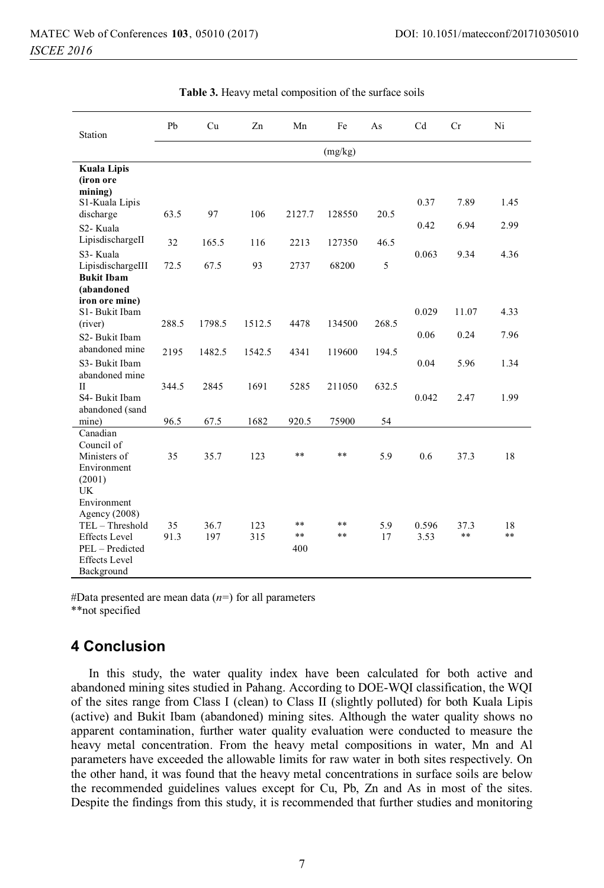| Station                                                                                                                          | Pb         | Cu          | Zn         | Mn              | Fe              | As        | C <sub>d</sub> | Cr            | Ni       |
|----------------------------------------------------------------------------------------------------------------------------------|------------|-------------|------------|-----------------|-----------------|-----------|----------------|---------------|----------|
|                                                                                                                                  | (mg/kg)    |             |            |                 |                 |           |                |               |          |
| <b>Kuala Lipis</b><br>(iron ore                                                                                                  |            |             |            |                 |                 |           |                |               |          |
| mining)<br>S1-Kuala Lipis<br>discharge                                                                                           | 63.5       | 97          | 106        | 2127.7          | 128550          | 20.5      | 0.37           | 7.89          | 1.45     |
| S2-Kuala<br>LipisdischargeII                                                                                                     | 32         | 165.5       | 116        |                 |                 | 46.5      | 0.42           | 6.94          | 2.99     |
| S3-Kuala<br>LipisdischargeIII                                                                                                    | 72.5       | 67.5        | 93         | 2213<br>2737    | 127350<br>68200 | 5         | 0.063          | 9.34          | 4.36     |
| <b>Bukit Ibam</b><br>(abandoned<br>iron ore mine)                                                                                |            |             |            |                 |                 |           |                |               |          |
| S1-Bukit Ibam<br>(river)                                                                                                         | 288.5      | 1798.5      | 1512.5     | 4478            | 134500          | 268.5     | 0.029          | 11.07         | 4.33     |
| S2- Bukit Ibam<br>abandoned mine                                                                                                 | 2195       | 1482.5      | 1542.5     | 4341            | 119600          | 194.5     | 0.06           | 0.24          | 7.96     |
| S3- Bukit Ibam<br>abandoned mine                                                                                                 |            |             |            |                 |                 |           | 0.04           | 5.96          | 1.34     |
| $\mathbf{H}$<br>S4- Bukit Ibam                                                                                                   | 344.5      | 2845        | 1691       | 5285            | 211050          | 632.5     | 0.042          | 2.47          | 1.99     |
| abandoned (sand<br>mine)                                                                                                         | 96.5       | 67.5        | 1682       | 920.5           | 75900           | 54        |                |               |          |
| Canadian<br>Council of<br>Ministers of<br>Environment<br>(2001)<br>UK                                                            | 35         | 35.7        | 123        | **              | $***$           | 5.9       | 0.6            | 37.3          | 18       |
| Environment<br>Agency (2008)<br>TEL - Threshold<br><b>Effects</b> Level<br>PEL - Predicted<br><b>Effects</b> Level<br>Background | 35<br>91.3 | 36.7<br>197 | 123<br>315 | **<br>**<br>400 | $**$<br>$**$    | 5.9<br>17 | 0.596<br>3.53  | 37.3<br>$***$ | 18<br>** |

**Table 3.** Heavy metal composition of the surface soils

#Data presented are mean data (*n=*) for all parameters

\*\*not specified

# **4 Conclusion**

In this study, the water quality index have been calculated for both active and abandoned mining sites studied in Pahang. According to DOE-WQI classification, the WQI of the sites range from Class I (clean) to Class II (slightly polluted) for both Kuala Lipis (active) and Bukit Ibam (abandoned) mining sites. Although the water quality shows no apparent contamination, further water quality evaluation were conducted to measure the heavy metal concentration. From the heavy metal compositions in water, Mn and Al parameters have exceeded the allowable limits for raw water in both sites respectively. On the other hand, it was found that the heavy metal concentrations in surface soils are below the recommended guidelines values except for Cu, Pb, Zn and As in most of the sites. Despite the findings from this study, it is recommended that further studies and monitoring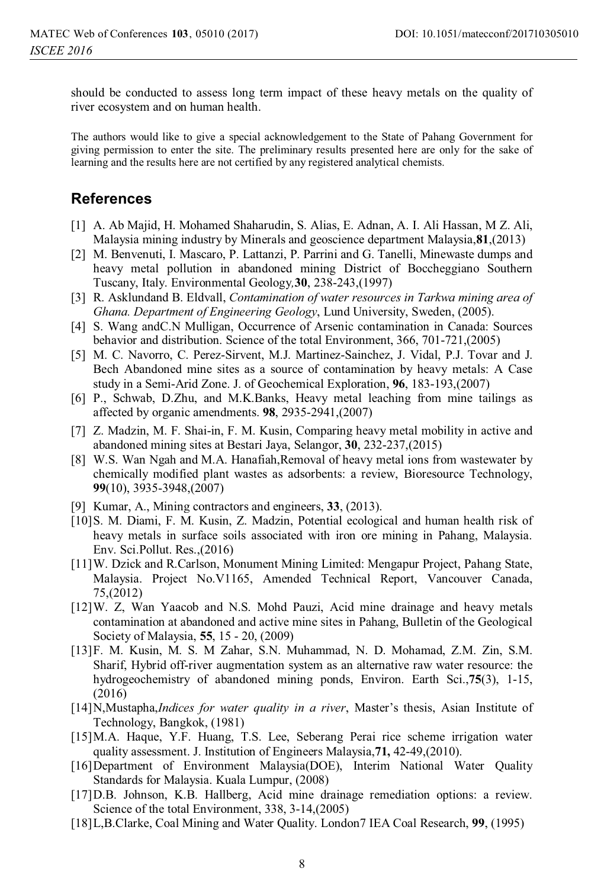should be conducted to assess long term impact of these heavy metals on the quality of river ecosystem and on human health.

The authors would like to give a special acknowledgement to the State of Pahang Government for giving permission to enter the site. The preliminary results presented here are only for the sake of learning and the results here are not certified by any registered analytical chemists.

## **References**

- [1] A. Ab Majid, H. Mohamed Shaharudin, S. Alias, E. Adnan, A. I. Ali Hassan, M Z. Ali, Malaysia mining industry by Minerals and geoscience department Malaysia,**81**,(2013)
- [2] M. Benvenuti, I. Mascaro, P. Lattanzi, P. Parrini and G. Tanelli, Minewaste dumps and heavy metal pollution in abandoned mining District of Boccheggiano Southern Tuscany, Italy. Environmental Geology*,***30**, 238-243,(1997)
- [3] R. Asklundand B. Eldvall, *Contamination of water resources in Tarkwa mining area of Ghana. Department of Engineering Geology*, Lund University, Sweden, (2005).
- [4] S. Wang andC.N Mulligan, Occurrence of Arsenic contamination in Canada: Sources behavior and distribution. Science of the total Environment, 366, 701-721,(2005)
- [5] M. C. Navorro, C. Perez-Sirvent, M.J. Martinez-Sainchez, J. Vidal, P.J. Tovar and J. Bech Abandoned mine sites as a source of contamination by heavy metals: A Case study in a Semi-Arid Zone. J. of Geochemical Exploration, **96**, 183-193,(2007)
- [6] P., Schwab, D.Zhu, and M.K.Banks, Heavy metal leaching from mine tailings as affected by organic amendments. **98**, 2935-2941,(2007)
- [7] Z. Madzin, M. F. Shai-in, F. M. Kusin, Comparing heavy metal mobility in active and abandoned mining sites at Bestari Jaya, Selangor, **30**, 232-237,(2015)
- [8] W.S. Wan Ngah and M.A. Hanafiah,Removal of heavy metal ions from wastewater by chemically modified plant wastes as adsorbents: a review, Bioresource Technology, **99**(10), 3935-3948,(2007)
- [9] Kumar, A., Mining contractors and engineers, **33**, (2013).
- [10]S. M. Diami, F. M. Kusin, Z. Madzin, Potential ecological and human health risk of heavy metals in surface soils associated with iron ore mining in Pahang, Malaysia. Env. Sci.Pollut. Res.,(2016)
- [11]W. Dzick and R.Carlson, Monument Mining Limited: Mengapur Project, Pahang State, Malaysia. Project No.V1165, Amended Technical Report, Vancouver Canada, 75,(2012)
- [12]W. Z, Wan Yaacob and N.S. Mohd Pauzi, Acid mine drainage and heavy metals contamination at abandoned and active mine sites in Pahang, Bulletin of the Geological Society of Malaysia, **55**, 15 - 20, (2009)
- [13]F. M. Kusin, M. S. M Zahar, S.N. Muhammad, N. D. Mohamad, Z.M. Zin, S.M. Sharif, Hybrid off-river augmentation system as an alternative raw water resource: the hydrogeochemistry of abandoned mining ponds, Environ. Earth Sci.,**75**(3), 1-15, (2016)
- [14]N,Mustapha,*Indices for water quality in a river*, Master's thesis, Asian Institute of Technology, Bangkok, (1981)
- [15]M.A. Haque, Y.F. Huang, T.S. Lee, Seberang Perai rice scheme irrigation water quality assessment. J. Institution of Engineers Malaysia,**71,** 42-49,(2010).
- [16]Department of Environment Malaysia(DOE), Interim National Water Quality Standards for Malaysia. Kuala Lumpur, (2008)
- [17]D.B. Johnson, K.B. Hallberg, Acid mine drainage remediation options: a review. Science of the total Environment, 338, 3-14,(2005)
- [18]L,B.Clarke, Coal Mining and Water Quality. London7 IEA Coal Research, **99**, (1995)